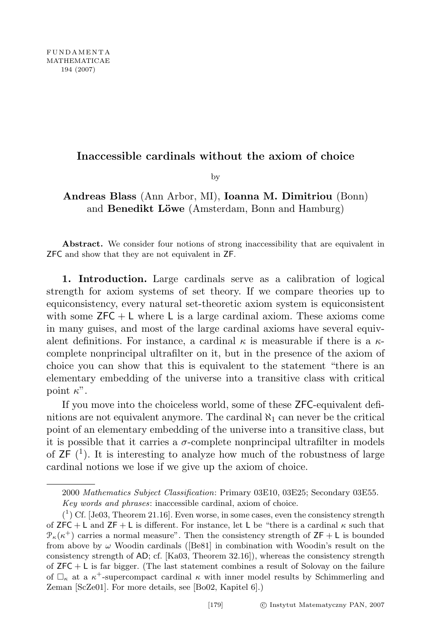## Inaccessible cardinals without the axiom of choice

by

## Andreas Blass (Ann Arbor, MI), Ioanna M. Dimitriou (Bonn) and Benedikt Löwe (Amsterdam, Bonn and Hamburg)

Abstract. We consider four notions of strong inaccessibility that are equivalent in ZFC and show that they are not equivalent in ZF.

1. Introduction. Large cardinals serve as a calibration of logical strength for axiom systems of set theory. If we compare theories up to equiconsistency, every natural set-theoretic axiom system is equiconsistent with some  $ZFC + L$  where L is a large cardinal axiom. These axioms come in many guises, and most of the large cardinal axioms have several equivalent definitions. For instance, a cardinal  $\kappa$  is measurable if there is a  $\kappa$ complete nonprincipal ultrafilter on it, but in the presence of the axiom of choice you can show that this is equivalent to the statement "there is an elementary embedding of the universe into a transitive class with critical point  $\kappa$ ".

If you move into the choiceless world, some of these ZFC-equivalent definitions are not equivalent anymore. The cardinal  $\aleph_1$  can never be the critical point of an elementary embedding of the universe into a transitive class, but it is possible that it carries a  $\sigma$ -complete nonprincipal ultrafilter in models of  $\mathsf{ZF}(\mathsf{1})$ . It is interesting to analyze how much of the robustness of large cardinal notions we lose if we give up the axiom of choice.

<sup>2000</sup> Mathematics Subject Classification: Primary 03E10, 03E25; Secondary 03E55. Key words and phrases: inaccessible cardinal, axiom of choice.

 $({}^{1})$  Cf. [Je03, Theorem 21.16]. Even worse, in some cases, even the consistency strength of ZFC + L and ZF + L is different. For instance, let L be "there is a cardinal  $\kappa$  such that  $\mathcal{P}_{\kappa}(\kappa^+)$  carries a normal measure". Then the consistency strength of  $\mathsf{ZF}+\mathsf{L}$  is bounded from above by  $\omega$  Woodin cardinals ([Be81] in combination with Woodin's result on the consistency strength of AD; cf. [Ka03, Theorem 32.16]), whereas the consistency strength of  $ZFC + L$  is far bigger. (The last statement combines a result of Solovay on the failure of  $\Box_{\kappa}$  at a  $\kappa^+$ -supercompact cardinal  $\kappa$  with inner model results by Schimmerling and Zeman [ScZe01]. For more details, see [Bo02, Kapitel 6].)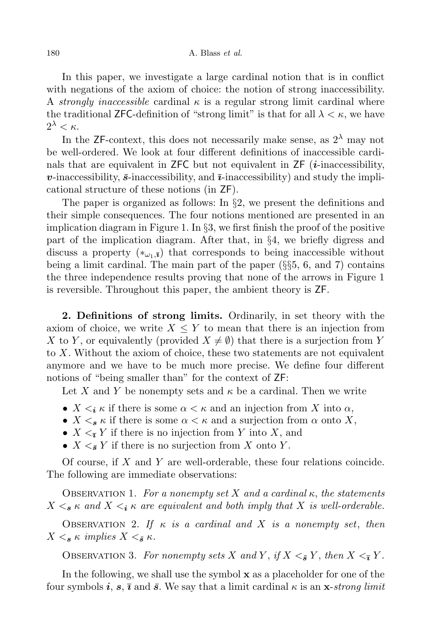In this paper, we investigate a large cardinal notion that is in conflict with negations of the axiom of choice: the notion of strong inaccessibility. A strongly inaccessible cardinal  $\kappa$  is a regular strong limit cardinal where the traditional **ZFC**-definition of "strong limit" is that for all  $\lambda < \kappa$ , we have  $2^{\lambda} < \kappa$ .

In the ZF-context, this does not necessarily make sense, as  $2^{\lambda}$  may not be well-ordered. We look at four different definitions of inaccessible cardinals that are equivalent in ZFC but not equivalent in  $\overline{ZF}$  (*i*-inaccessibility, **v**-inaccessibility,  $\bar{s}$ -inaccessibility, and  $\bar{\imath}$ -inaccessibility) and study the implicational structure of these notions (in ZF).

The paper is organized as follows: In §2, we present the definitions and their simple consequences. The four notions mentioned are presented in an implication diagram in Figure 1. In §3, we first finish the proof of the positive part of the implication diagram. After that, in §4, we briefly digress and discuss a property  $(*_{\omega_1,\overline{\mathbf{i}}})$  that corresponds to being inaccessible without being a limit cardinal. The main part of the paper  $(\S_{\S}5, 6, \S_{\S}$  and 7) contains the three independence results proving that none of the arrows in Figure 1 is reversible. Throughout this paper, the ambient theory is ZF.

2. Definitions of strong limits. Ordinarily, in set theory with the axiom of choice, we write  $X \leq Y$  to mean that there is an injection from X to Y, or equivalently (provided  $X \neq \emptyset$ ) that there is a surjection from Y to X. Without the axiom of choice, these two statements are not equivalent anymore and we have to be much more precise. We define four different notions of "being smaller than" for the context of ZF:

Let X and Y be nonempty sets and  $\kappa$  be a cardinal. Then we write

- $X \leq_i \kappa$  if there is some  $\alpha \leq \kappa$  and an injection from X into  $\alpha$ ,
- $X \leq_{\mathcal{S}} \kappa$  if there is some  $\alpha \leq \kappa$  and a surjection from  $\alpha$  onto X,
- $X \leq_{\overline{i}} Y$  if there is no injection from Y into X, and
- $X \leq_{\bar{\mathbf{s}}} Y$  if there is no surjection from X onto Y.

Of course, if X and Y are well-orderable, these four relations coincide. The following are immediate observations:

OBSERVATION 1. For a nonempty set X and a cardinal  $\kappa$ , the statements  $X \leq_{\mathbf{s}} \kappa$  and  $X \leq_{\mathbf{i}} \kappa$  are equivalent and both imply that X is well-orderable.

OBSERVATION 2. If  $\kappa$  is a cardinal and X is a nonempty set, then  $X \leq_{\mathbf{s}} \kappa$  implies  $X \leq_{\mathbf{s}} \kappa$ .

OBSERVATION 3. For nonempty sets X and Y, if  $X \leq_{\bar{s}} Y$ , then  $X \leq_{\bar{s}} Y$ .

In the following, we shall use the symbol x as a placeholder for one of the four symbols i, s,  $\bar{\imath}$  and  $\bar{s}$ . We say that a limit cardinal  $\kappa$  is an x-strong limit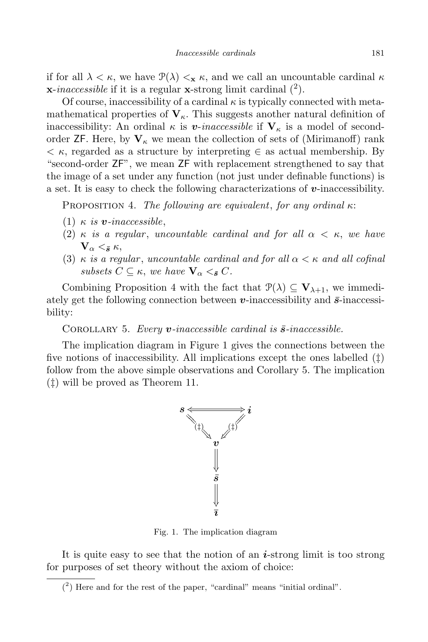if for all  $\lambda < \kappa$ , we have  $\mathcal{P}(\lambda) <_{\kappa} \kappa$ , and we call an uncountable cardinal  $\kappa$  $\mathbf{x}\text{-}inaccessible$  if it is a regular  $\mathbf{x}\text{-strong limit cardinal }(^2)$ .

Of course, inaccessibility of a cardinal  $\kappa$  is typically connected with metamathematical properties of  $V_{\kappa}$ . This suggests another natural definition of inaccessibility: An ordinal  $\kappa$  is v-inaccessible if  $V_{\kappa}$  is a model of secondorder  $\mathsf{ZF}$ . Here, by  $\mathbf{V}_{\kappa}$  we mean the collection of sets of (Mirimanoff) rank  $\lt$   $\kappa$ , regarded as a structure by interpreting  $\in$  as actual membership. By "second-order ZF", we mean ZF with replacement strengthened to say that the image of a set under any function (not just under definable functions) is a set. It is easy to check the following characterizations of  $v$ -inaccessibility.

PROPOSITION 4. The following are equivalent, for any ordinal  $\kappa$ :

- (1)  $\kappa$  is **v**-inaccessible,
- (2)  $\kappa$  is a regular, uncountable cardinal and for all  $\alpha < \kappa$ , we have  $V_{\alpha} \leq \bar{\epsilon} \kappa$
- (3)  $\kappa$  is a regular, uncountable cardinal and for all  $\alpha < \kappa$  and all cofinal subsets  $C \subseteq \kappa$ , we have  $\mathbf{V}_{\alpha} \leq_{\bar{\mathbf{s}}} C$ .

Combining Proposition 4 with the fact that  $\mathcal{P}(\lambda) \subseteq \mathbf{V}_{\lambda+1}$ , we immediately get the following connection between  $v$ -inaccessibility and  $\bar{s}$ -inaccessibility:

COROLLARY 5. Every  $v$ -inaccessible cardinal is  $\bar{s}$ -inaccessible.

The implication diagram in Figure 1 gives the connections between the five notions of inaccessibility. All implications except the ones labelled  $(\ddagger)$ follow from the above simple observations and Corollary 5. The implication (‡) will be proved as Theorem 11.



Fig. 1. The implication diagram

It is quite easy to see that the notion of an  $i$ -strong limit is too strong for purposes of set theory without the axiom of choice:

<sup>(</sup> 2 ) Here and for the rest of the paper, "cardinal" means "initial ordinal".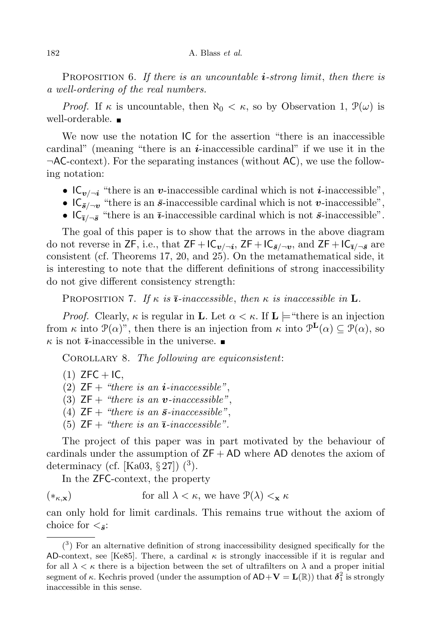PROPOSITION 6. If there is an uncountable  $i$ -strong limit, then there is a well-ordering of the real numbers.

*Proof.* If  $\kappa$  is uncountable, then  $\aleph_0 < \kappa$ , so by Observation 1,  $\mathcal{P}(\omega)$  is well-orderable.

We now use the notation IC for the assertion "there is an inaccessible cardinal" (meaning "there is an  $i$ -inaccessible cardinal" if we use it in the  $\neg$ AC-context). For the separating instances (without AC), we use the following notation:

- $IC_{\nu/\neg i}$  "there is an v-inaccessible cardinal which is not *i*-inaccessible",
- $IC_{\bar{s}/\neg v}$  "there is an  $\bar{s}$ -inaccessible cardinal which is not v-inaccessible",
- $IC_{\bar{i}/\neg \bar{s}}$  "there is an  $\bar{i}$ -inaccessible cardinal which is not  $\bar{s}$ -inaccessible".

The goal of this paper is to show that the arrows in the above diagram do not reverse in  $\mathsf{ZF},$  i.e., that  $\mathsf{ZF}+\mathsf{IC}_{\bm{v}/\neg\bm{i}}, \mathsf{ZF}+\mathsf{IC}_{\bar{s}/\neg\bm{v}},$  and  $\mathsf{ZF}+\mathsf{IC}_{\bar{\bm{i}}/\neg\bar{\bm{s}}}$  are consistent (cf. Theorems 17, 20, and 25). On the metamathematical side, it is interesting to note that the different definitions of strong inaccessibility do not give different consistency strength:

PROPOSITION 7. If  $\kappa$  is  $\bar{i}$ -inaccessible, then  $\kappa$  is inaccessible in **L**.

*Proof.* Clearly,  $\kappa$  is regular in **L**. Let  $\alpha < \kappa$ . If **L** = "there is an injection" from  $\kappa$  into  $\mathcal{P}(\alpha)$ ", then there is an injection from  $\kappa$  into  $\mathcal{P}^{\mathbf{L}}(\alpha) \subseteq \mathcal{P}(\alpha)$ , so  $\kappa$  is not  $\bar{i}$ -inaccessible in the universe.

COROLLARY 8. The following are equiconsistent:

 $(1)$  ZFC + IC,

(2)  $ZF + "there is an i-inaccessible".$ 

(3)  $ZF + "there is an v-inaccessible"$ .

(4)  $ZF + "there is an \bar{s}\text{-}inaccessible"$ .

(5)  $ZF + "there is an \overline{i} - inaccessible".$ 

The project of this paper was in part motivated by the behaviour of cardinals under the assumption of  $ZF + AD$  where AD denotes the axiom of determinacy (cf. [Ka03, § 27])  $(^3)$ .

In the ZFC-context, the property

(\*<sub> $(\kappa, \mathbf{x})$ </sub> for all  $\lambda < \kappa$ , we have  $\mathcal{P}(\lambda) <_{\mathbf{x}} \kappa$ 

can only hold for limit cardinals. This remains true without the axiom of choice for  $\langle \bar{s}$ :

 $(3)$  For an alternative definition of strong inaccessibility designed specifically for the AD-context, see [Ke85]. There, a cardinal  $\kappa$  is strongly inaccessible if it is regular and for all  $\lambda < \kappa$  there is a bijection between the set of ultrafilters on  $\lambda$  and a proper initial segment of  $\kappa$ . Kechris proved (under the assumption of  $AD+V = L(\mathbb{R})$ ) that  $\delta_1^2$  is strongly inaccessible in this sense.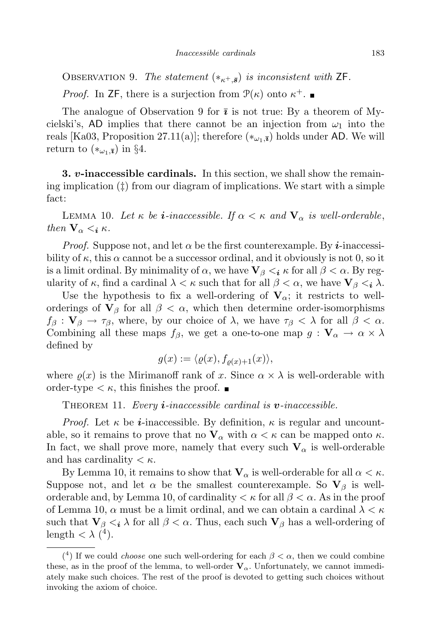OBSERVATION 9. The statement  $(*_{\kappa+\bar{s}})$  is inconsistent with ZF.

*Proof.* In ZF, there is a surjection from  $\mathcal{P}(\kappa)$  onto  $\kappa^+$ .

The analogue of Observation 9 for  $\bar{i}$  is not true: By a theorem of Mycielski's, AD implies that there cannot be an injection from  $\omega_1$  into the reals [Ka03, Proposition 27.11(a)]; therefore  $(*_{\omega_1,\bar{x}})$  holds under AD. We will return to  $(*_{\omega_1,\bar{\mathbf{z}}})$  in §4.

**3. v-inaccessible cardinals.** In this section, we shall show the remaining implication (‡) from our diagram of implications. We start with a simple fact:

LEMMA 10. Let  $\kappa$  be **i**-inaccessible. If  $\alpha < \kappa$  and  $\mathbf{V}_{\alpha}$  is well-orderable, then  $V_{\alpha} < i \kappa$ .

*Proof.* Suppose not, and let  $\alpha$  be the first counterexample. By *i*-inaccessibility of  $\kappa$ , this  $\alpha$  cannot be a successor ordinal, and it obviously is not 0, so it is a limit ordinal. By minimality of  $\alpha$ , we have  $\mathbf{V}_{\beta} \leq_{i} \kappa$  for all  $\beta \leq \alpha$ . By regularity of  $\kappa$ , find a cardinal  $\lambda < \kappa$  such that for all  $\beta < \alpha$ , we have  $\mathbf{V}_{\beta} <_{i} \lambda$ .

Use the hypothesis to fix a well-ordering of  $V_{\alpha}$ ; it restricts to wellorderings of  $V_\beta$  for all  $\beta < \alpha$ , which then determine order-isomorphisms  $f_\beta: \mathbf{V}_\beta \to \tau_\beta$ , where, by our choice of  $\lambda$ , we have  $\tau_\beta < \lambda$  for all  $\beta < \alpha$ . Combining all these maps  $f_\beta$ , we get a one-to-one map  $g: \mathbf{V}_\alpha \to \alpha \times \lambda$ defined by

$$
g(x) := \langle \varrho(x), f_{\varrho(x)+1}(x) \rangle,
$$

where  $\rho(x)$  is the Mirimanoff rank of x. Since  $\alpha \times \lambda$  is well-orderable with order-type  $\lt \kappa$ , this finishes the proof.

THEOREM 11. Every *i*-inaccessible cardinal is *v*-inaccessible.

*Proof.* Let  $\kappa$  be *i*-inaccessible. By definition,  $\kappa$  is regular and uncountable, so it remains to prove that no  $V_{\alpha}$  with  $\alpha < \kappa$  can be mapped onto  $\kappa$ . In fact, we shall prove more, namely that every such  $V_{\alpha}$  is well-orderable and has cardinality  $\lt \kappa$ .

By Lemma 10, it remains to show that  $V_{\alpha}$  is well-orderable for all  $\alpha < \kappa$ . Suppose not, and let  $\alpha$  be the smallest counterexample. So  $V_\beta$  is wellorderable and, by Lemma 10, of cardinality  $\lt \kappa$  for all  $\beta \lt \alpha$ . As in the proof of Lemma 10,  $\alpha$  must be a limit ordinal, and we can obtain a cardinal  $\lambda < \kappa$ such that  $\mathbf{V}_{\beta} \leq \mathbf{i} \lambda$  for all  $\beta \leq \alpha$ . Thus, each such  $\mathbf{V}_{\beta}$  has a well-ordering of length  $< \lambda$  (<sup>4</sup>).

<sup>(&</sup>lt;sup>4</sup>) If we could *choose* one such well-ordering for each  $\beta < \alpha$ , then we could combine these, as in the proof of the lemma, to well-order  $V_{\alpha}$ . Unfortunately, we cannot immediately make such choices. The rest of the proof is devoted to getting such choices without invoking the axiom of choice.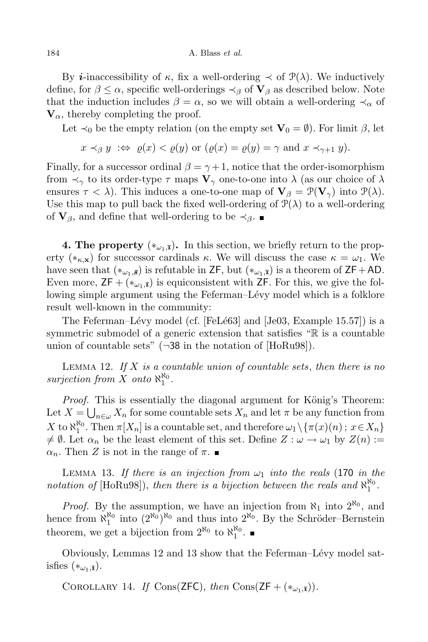By *i*-inaccessibility of  $\kappa$ , fix a well-ordering  $\prec$  of  $\mathcal{P}(\lambda)$ . We inductively define, for  $\beta \leq \alpha$ , specific well-orderings  $\prec_{\beta}$  of  $V_{\beta}$  as described below. Note that the induction includes  $\beta = \alpha$ , so we will obtain a well-ordering  $\prec_{\alpha}$  of  $V_{\alpha}$ , thereby completing the proof.

Let  $\prec_0$  be the empty relation (on the empty set  $\mathbf{V}_0 = \emptyset$ ). For limit  $\beta$ , let

$$
x \prec_{\beta} y \Leftrightarrow \varrho(x) < \varrho(y)
$$
 or  $(\varrho(x) = \varrho(y) = \gamma$  and  $x \prec_{\gamma+1} y$ ).

Finally, for a successor ordinal  $\beta = \gamma + 1$ , notice that the order-isomorphism from  $\prec_{\gamma}$  to its order-type  $\tau$  maps  $V_{\gamma}$  one-to-one into  $\lambda$  (as our choice of  $\lambda$ ensures  $\tau < \lambda$ ). This induces a one-to-one map of  $V_{\beta} = \mathcal{P}(V_{\gamma})$  into  $\mathcal{P}(\lambda)$ . Use this map to pull back the fixed well-ordering of  $\mathcal{P}(\lambda)$  to a well-ordering of  $V_\beta$ , and define that well-ordering to be  $\prec_\beta$ .

**4. The property**  $(*_{\omega_1,\bar{x}})$ . In this section, we briefly return to the property ( $*_{\kappa,\mathbf{x}}$ ) for successor cardinals  $\kappa$ . We will discuss the case  $\kappa = \omega_1$ . We have seen that  $(*_{\omega_1,\bar{s}})$  is refutable in ZF, but  $(*_{\omega_1,\bar{s}})$  is a theorem of ZF+AD. Even more,  $\mathsf{ZF} + (*_{\omega_1,\overline{\mathbf{z}}})$  is equiconsistent with  $\mathsf{ZF}$ . For this, we give the following simple argument using the Feferman–Lévy model which is a folklore result well-known in the community:

The Feferman–Lévy model (cf. [FeLé63] and [Je03, Example 15.57]) is a symmetric submodel of a generic extension that satisfies "R is a countable union of countable sets" (¬38 in the notation of [HoRu98]).

LEMMA 12. If X is a countable union of countable sets, then there is no surjection from X onto  $\aleph_1^{\aleph_0}$ .

*Proof.* This is essentially the diagonal argument for König's Theorem: Let  $X = \bigcup_{n \in \omega} X_n$  for some countable sets  $X_n$  and let  $\pi$  be any function from X to  $\aleph_1^{\aleph_0}$ . Then  $\pi[X_n]$  is a countable set, and therefore  $\omega_1 \setminus {\{\pi(x)(n) \, ; \, x \in X_n\}}$  $\neq \emptyset$ . Let  $\alpha_n$  be the least element of this set. Define  $Z : \omega \to \omega_1$  by  $Z(n) :=$  $\alpha_n$ . Then Z is not in the range of  $\pi$ .

LEMMA 13. If there is an injection from  $\omega_1$  into the reals (170 in the notation of [HoRu98]), then there is a bijection between the reals and  $\aleph_1^{\aleph_0}$ .

*Proof.* By the assumption, we have an injection from  $\aleph_1$  into  $2^{\aleph_0}$ , and hence from  $\aleph_1^{\aleph_0}$  into  $(2^{\aleph_0})^{\aleph_0}$  and thus into  $2^{\aleph_0}$ . By the Schröder–Bernstein theorem, we get a bijection from  $2^{\aleph_0}$  to  $\aleph_1^{\aleph_0}$ .

Obviously, Lemmas 12 and 13 show that the Feferman–Lévy model satisfies  $(*_{\omega_1,\overline{\mathbf{z}}}).$ 

COROLLARY 14. If Cons(ZFC), then Cons(ZF +  $(*_{\omega_1,\overline{x}})$ ).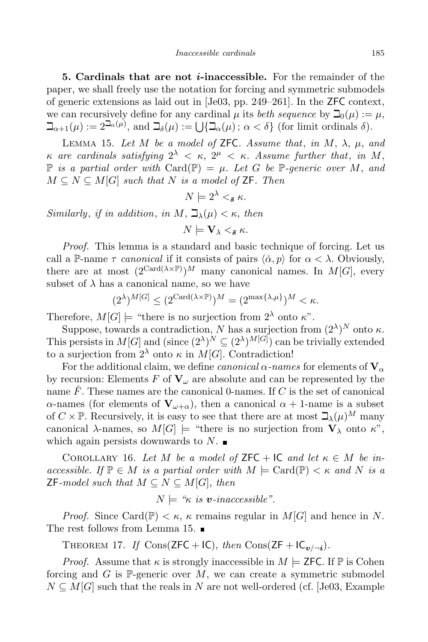5. Cardinals that are not *i*-inaccessible. For the remainder of the paper, we shall freely use the notation for forcing and symmetric submodels of generic extensions as laid out in [Je03, pp. 249–261]. In the ZFC context, we can recursively define for any cardinal  $\mu$  its *beth sequence* by  $\mathcal{D}_0(\mu) := \mu$ ,  $\beth_{\alpha+1}(\mu) := 2^{\beth_{\alpha}(\mu)}$ , and  $\beth_{\delta}(\mu) := \bigcup \{ \beth_{\alpha}(\mu) \, ; \, \alpha < \delta \}$  (for limit ordinals  $\delta$ ).

LEMMA 15. Let M be a model of ZFC. Assume that, in M,  $\lambda$ ,  $\mu$ , and  $\kappa$  are cardinals satisfying  $2^{\lambda} < \kappa$ ,  $2^{\mu} < \kappa$ . Assume further that, in M,  $\mathbb P$  is a partial order with Card( $\mathbb P$ ) =  $\mu$ . Let G be  $\mathbb P$ -generic over M, and  $M \subseteq N \subseteq M[G]$  such that N is a model of ZF. Then

$$
N \models 2^{\lambda} <_{\bar{s}} \kappa.
$$

Similarly, if in addition, in M,  $\beth_{\lambda}(\mu) < \kappa$ , then

 $N \models \mathbf{V}_{\lambda} \leq_{\bar{\mathbf{s}}} \kappa.$ 

Proof. This lemma is a standard and basic technique of forcing. Let us call a P-name  $\tau$  canonical if it consists of pairs  $\langle \alpha, p \rangle$  for  $\alpha < \lambda$ . Obviously, there are at most  $(2^{\text{Card}(\lambda\times\mathbb{P})})^M$  many canonical names. In  $M[G]$ , every subset of  $\lambda$  has a canonical name, so we have

$$
(2^{\lambda})^{M[G]} \leq (2^{\operatorname{Card}(\lambda \times \mathbb{P})})^{M} = (2^{\max\{\lambda,\mu\}})^{M} < \kappa.
$$

Therefore,  $M[G] \models$  "there is no surjection from  $2^{\lambda}$  onto  $\kappa$ ".

Suppose, towards a contradiction, N has a surjection from  $(2^{\lambda})^N$  onto  $\kappa$ . This persists in  $M[G]$  and (since  $(2^{\lambda})^N \subseteq (2^{\lambda})^{M[G]}$ ) can be trivially extended to a surjection from  $2^{\lambda}$  onto  $\kappa$  in  $M[G]$ . Contradiction!

For the additional claim, we define *canonical*  $\alpha$ -names for elements of  $V_{\alpha}$ by recursion: Elements F of  $V_\omega$  are absolute and can be represented by the name  $\overline{F}$ . These names are the canonical 0-names. If C is the set of canonical α-names (for elements of  $V_{ω+α}$ ), then a canonical  $α + 1$ -name is a subset of  $C \times \mathbb{P}$ . Recursively, it is easy to see that there are at most  $\Delta_{\lambda}(\mu)^M$  many canonical  $\lambda$ -names, so  $M[G] \models$  "there is no surjection from  $V_{\lambda}$  onto  $\kappa$ ", which again persists downwards to  $N$ .

COROLLARY 16. Let M be a model of  $\mathsf{ZFC} + \mathsf{IC}$  and let  $\kappa \in M$  be inaccessible. If  $\mathbb{P} \in M$  is a partial order with  $M \models \text{Card}(\mathbb{P}) < \kappa$  and N is a **ZF**-model such that  $M \subseteq N \subseteq M[G]$ , then

$$
N \models \text{``$\kappa$ is $\boldsymbol{v}$-inaccessible''}.
$$

*Proof.* Since Card( $\mathbb{P}$ )  $\lt$   $\kappa$ ,  $\kappa$  remains regular in M[G] and hence in N. The rest follows from Lemma 15.

THEOREM 17. If  $\text{Cons}(\textsf{ZFC} + \textsf{IC}), \text{ then } \text{Cons}(\textsf{ZF} + \textsf{IC}_{\boldsymbol{v}/\neg \textbf{\textit{i}}}).$ 

*Proof.* Assume that  $\kappa$  is strongly inaccessible in  $M \models$  **ZFC**. If  $\mathbb{P}$  is Cohen forcing and G is  $\mathbb{P}$ -generic over M, we can create a symmetric submodel  $N \subseteq M[G]$  such that the reals in N are not well-ordered (cf. [Je03, Example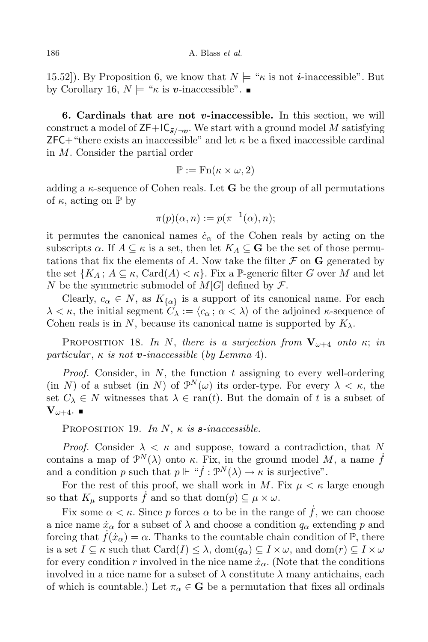15.52]). By Proposition 6, we know that  $N \models {\kappa}$  is not *i*-inaccessible". But by Corollary 16,  $N \models " \kappa \text{ is } v\text{-inaccessible".}$ 

6. Cardinals that are not  $v$ -inaccessible. In this section, we will construct a model of  $\mathsf{ZF}+\mathsf{IC}_{\bar{\mathbf{s}}/\neg \mathbf{v}}$ . We start with a ground model M satisfying  $ZFC+$  "there exists an inaccessible" and let  $\kappa$  be a fixed inaccessible cardinal in M. Consider the partial order

$$
\mathbb{P} := \operatorname{Fn}(\kappa \times \omega, 2)
$$

adding a  $\kappa$ -sequence of Cohen reals. Let **G** be the group of all permutations of  $\kappa$ , acting on  $\mathbb P$  by

$$
\pi(p)(\alpha, n) := p(\pi^{-1}(\alpha), n);
$$

it permutes the canonical names  $\dot{c}_{\alpha}$  of the Cohen reals by acting on the subscripts  $\alpha$ . If  $A \subseteq \kappa$  is a set, then let  $K_A \subseteq \mathbf{G}$  be the set of those permutations that fix the elements of A. Now take the filter  $\mathcal F$  on  $G$  generated by the set  ${K_A : A \subseteq \kappa, \text{Card}(A) < \kappa}$ . Fix a P-generic filter G over M and let N be the symmetric submodel of  $M[G]$  defined by  $\mathcal{F}$ .

Clearly,  $c_{\alpha} \in N$ , as  $K_{\{\alpha\}}$  is a support of its canonical name. For each  $\lambda < \kappa$ , the initial segment  $C_{\lambda} := \langle c_{\alpha} : \alpha < \lambda \rangle$  of the adjoined  $\kappa$ -sequence of Cohen reals is in N, because its canonical name is supported by  $K_{\lambda}$ .

PROPOSITION 18. In N, there is a surjection from  $V_{\omega+4}$  onto  $\kappa$ ; in particular,  $\kappa$  is not **v**-inaccessible (by Lemma 4).

*Proof.* Consider, in  $N$ , the function  $t$  assigning to every well-ordering (in N) of a subset (in N) of  $\mathcal{P}^N(\omega)$  its order-type. For every  $\lambda < \kappa$ , the set  $C_{\lambda} \in N$  witnesses that  $\lambda \in \text{ran}(t)$ . But the domain of t is a subset of  $\mathbf{V}_{\omega+4}$ .  $\blacksquare$ 

PROPOSITION 19. In N,  $\kappa$  is  $\bar{s}\text{-}inaccessible$ .

*Proof.* Consider  $\lambda < \kappa$  and suppose, toward a contradiction, that N contains a map of  $\mathcal{P}^N(\lambda)$  onto  $\kappa$ . Fix, in the ground model M, a name  $\dot{f}$ and a condition p such that  $p \Vdash "f : \mathcal{P}^N(\lambda) \to \kappa$  is surjective".

For the rest of this proof, we shall work in M. Fix  $\mu < \kappa$  large enough so that  $K_{\mu}$  supports f and so that dom $(p) \subseteq \mu \times \omega$ .

Fix some  $\alpha < \kappa$ . Since p forces  $\alpha$  to be in the range of f, we can choose a nice name  $\dot{x}_{\alpha}$  for a subset of  $\lambda$  and choose a condition  $q_{\alpha}$  extending p and forcing that  $f(\dot{x}_\alpha) = \alpha$ . Thanks to the countable chain condition of  $\mathbb{P}$ , there is a set  $I \subseteq \kappa$  such that  $\text{Card}(I) \leq \lambda$ ,  $\text{dom}(q_\alpha) \subseteq I \times \omega$ , and  $\text{dom}(r) \subseteq I \times \omega$ for every condition r involved in the nice name  $\dot{x}_{\alpha}$ . (Note that the conditions involved in a nice name for a subset of  $\lambda$  constitute  $\lambda$  many antichains, each of which is countable.) Let  $\pi_{\alpha} \in \mathbf{G}$  be a permutation that fixes all ordinals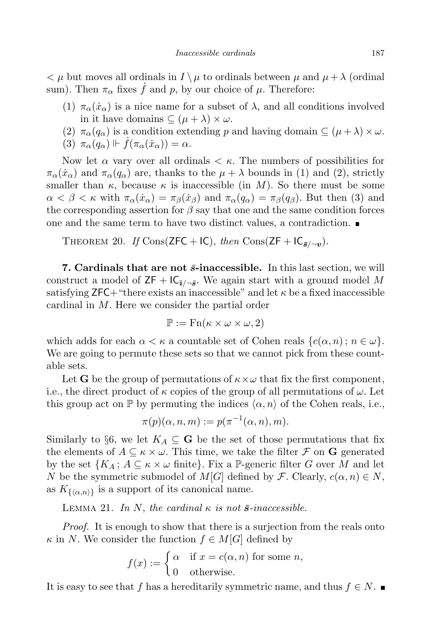$\langle \mu \rangle \sim \mu$  but moves all ordinals in  $I \setminus \mu$  to ordinals between  $\mu$  and  $\mu + \lambda$  (ordinal sum). Then  $\pi_{\alpha}$  fixes  $\dot{f}$  and p, by our choice of  $\mu$ . Therefore:

- (1)  $\pi_{\alpha}(\dot{x}_{\alpha})$  is a nice name for a subset of  $\lambda$ , and all conditions involved in it have domains  $\subseteq (\mu + \lambda) \times \omega$ .
- (2)  $\pi_{\alpha}(q_{\alpha})$  is a condition extending p and having domain  $\subseteq (\mu + \lambda) \times \omega$ .
- (3)  $\pi_{\alpha}(q_{\alpha}) \Vdash \dot{f}(\pi_{\alpha}(\dot{x}_{\alpha})) = \alpha.$

Now let  $\alpha$  vary over all ordinals  $\lt \kappa$ . The numbers of possibilities for  $\pi_{\alpha}(\dot{x}_{\alpha})$  and  $\pi_{\alpha}(q_{\alpha})$  are, thanks to the  $\mu + \lambda$  bounds in (1) and (2), strictly smaller than  $\kappa$ , because  $\kappa$  is inaccessible (in M). So there must be some  $\alpha < \beta < \kappa$  with  $\pi_{\alpha}(\dot{x}_{\alpha}) = \pi_{\beta}(\dot{x}_{\beta})$  and  $\pi_{\alpha}(q_{\alpha}) = \pi_{\beta}(q_{\beta})$ . But then (3) and the corresponding assertion for  $\beta$  say that one and the same condition forces one and the same term to have two distinct values, a contradiction.

THEOREM 20. If Cons(ZFC + IC), then Cons(ZF +  $IC_{\bar{s}/\neg v}$ ).

7. Cardinals that are not  $\bar{s}$ -inaccessible. In this last section, we will construct a model of  $\mathsf{ZF} + \mathsf{IC}_{\bar{\imath}/\neg\bar{\mathbf{s}}}$ . We again start with a ground model M satisfying  $ZFC+$  "there exists an inaccessible" and let  $\kappa$  be a fixed inaccessible cardinal in M. Here we consider the partial order

$$
\mathbb{P} := \operatorname{Fn}(\kappa \times \omega \times \omega, 2)
$$

which adds for each  $\alpha < \kappa$  a countable set of Cohen reals  $\{c(\alpha, n) : n \in \omega\}$ . We are going to permute these sets so that we cannot pick from these countable sets.

Let G be the group of permutations of  $\kappa \times \omega$  that fix the first component, i.e., the direct product of  $\kappa$  copies of the group of all permutations of  $\omega$ . Let this group act on  $\mathbb P$  by permuting the indices  $\langle \alpha, n \rangle$  of the Cohen reals, i.e.,

$$
\pi(p)(\alpha, n, m) := p(\pi^{-1}(\alpha, n), m).
$$

Similarly to §6, we let  $K_A \subseteq \mathbf{G}$  be the set of those permutations that fix the elements of  $A \subseteq \kappa \times \omega$ . This time, we take the filter  $\mathcal F$  on G generated by the set  $\{K_A; A \subseteq \kappa \times \omega \text{ finite}\}\$ . Fix a P-generic filter G over M and let N be the symmetric submodel of  $M[G]$  defined by F. Clearly,  $c(\alpha, n) \in N$ , as  $K_{\{\langle \alpha,n \rangle\}}$  is a support of its canonical name.

LEMMA 21. In N, the cardinal  $\kappa$  is not  $\bar{s}$ -inaccessible.

*Proof.* It is enough to show that there is a surjection from the reals onto  $\kappa$  in N. We consider the function  $f \in M[G]$  defined by

$$
f(x) := \begin{cases} \alpha & \text{if } x = c(\alpha, n) \text{ for some } n, \\ 0 & \text{otherwise.} \end{cases}
$$

It is easy to see that f has a hereditarily symmetric name, and thus  $f \in N$ .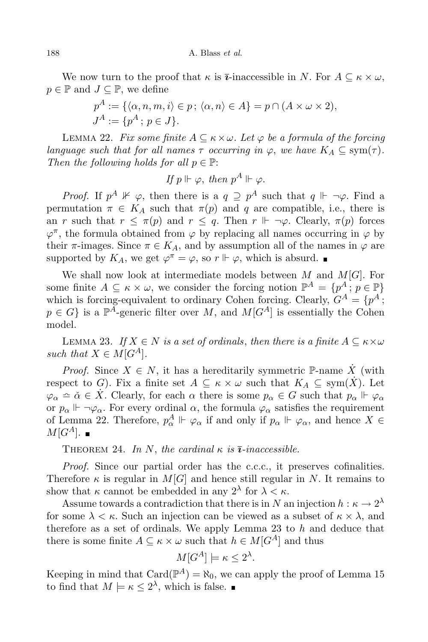We now turn to the proof that  $\kappa$  is  $\bar{\imath}$ -inaccessible in N. For  $A \subseteq \kappa \times \omega$ ,  $p \in \mathbb{P}$  and  $J \subseteq \mathbb{P}$ , we define

$$
p^{A} := \{ \langle \alpha, n, m, i \rangle \in p \, ; \, \langle \alpha, n \rangle \in A \} = p \cap (A \times \omega \times 2),
$$
  

$$
J^{A} := \{ p^{A} \, ; \, p \in J \}.
$$

LEMMA 22. Fix some finite  $A \subseteq \kappa \times \omega$ . Let  $\varphi$  be a formula of the forcing language such that for all names  $\tau$  occurring in  $\varphi$ , we have  $K_A \subseteq \text{sym}(\tau)$ . Then the following holds for all  $p \in \mathbb{P}$ :

$$
If p \Vdash \varphi, then p^A \Vdash \varphi.
$$

*Proof.* If  $p^A \nVdash \varphi$ , then there is a  $q \supseteq p^A$  such that  $q \Vdash \neg \varphi$ . Find a permutation  $\pi \in K_A$  such that  $\pi(p)$  and q are compatible, i.e., there is an r such that  $r \leq \pi(p)$  and  $r \leq q$ . Then  $r \Vdash \neg \varphi$ . Clearly,  $\pi(p)$  forces  $\varphi^{\pi}$ , the formula obtained from  $\varphi$  by replacing all names occurring in  $\varphi$  by their  $\pi$ -images. Since  $\pi \in K_A$ , and by assumption all of the names in  $\varphi$  are supported by  $K_A$ , we get  $\varphi^{\pi} = \varphi$ , so  $r \Vdash \varphi$ , which is absurd.

We shall now look at intermediate models between  $M$  and  $M[G]$ . For some finite  $A \subseteq \kappa \times \omega$ , we consider the forcing notion  $\mathbb{P}^A = \{p^A : p \in \mathbb{P}\}\$ which is forcing-equivalent to ordinary Cohen forcing. Clearly,  $G^A = \{p^A;$  $p \in G$  is a  $\mathbb{P}^A$ -generic filter over M, and  $M[G^A]$  is essentially the Cohen model.

LEMMA 23. If  $X \in N$  is a set of ordinals, then there is a finite  $A \subseteq \kappa \times \omega$ such that  $X \in M[G^A]$ .

*Proof.* Since  $X \in N$ , it has a hereditarily symmetric P-name X (with respect to G). Fix a finite set  $A \subseteq \kappa \times \omega$  such that  $K_A \subseteq sym(\dot{X})$ . Let  $\varphi_{\alpha} \in \check{\alpha} \in \check{X}$ . Clearly, for each  $\alpha$  there is some  $p_{\alpha} \in G$  such that  $p_{\alpha} \Vdash \varphi_{\alpha}$ or  $p_{\alpha} \Vdash \neg \varphi_{\alpha}$ . For every ordinal  $\alpha$ , the formula  $\varphi_{\alpha}$  satisfies the requirement of Lemma 22. Therefore,  $p_{\alpha}^A \Vdash \varphi_{\alpha}$  if and only if  $p_{\alpha} \Vdash \varphi_{\alpha}$ , and hence  $X \in$  $M[G^A]$ .

THEOREM 24. In N, the cardinal  $\kappa$  is  $\overline{\imath}\text{-}inaccessible$ .

Proof. Since our partial order has the c.c.c., it preserves cofinalities. Therefore  $\kappa$  is regular in  $M[G]$  and hence still regular in N. It remains to show that  $\kappa$  cannot be embedded in any  $2^{\lambda}$  for  $\lambda < \kappa$ .

Assume towards a contradiction that there is in N an injection  $h:\kappa \to 2^{\lambda}$ for some  $\lambda < \kappa$ . Such an injection can be viewed as a subset of  $\kappa \times \lambda$ , and therefore as a set of ordinals. We apply Lemma 23 to  $h$  and deduce that there is some finite  $A \subseteq \kappa \times \omega$  such that  $h \in M[G^A]$  and thus

$$
M[G^A] \models \kappa \le 2^{\lambda}.
$$

Keeping in mind that  $Card(\mathbb{P}^A)=\aleph_0$ , we can apply the proof of Lemma 15 to find that  $M \models \kappa \leq 2^{\lambda}$ , which is false.